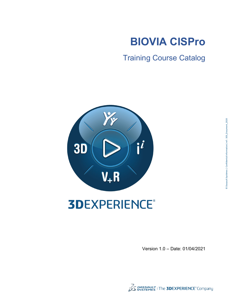

Training Course Catalog



## **3DEXPERIENCE®**

Version 1.0 – Date: 01/04/2021

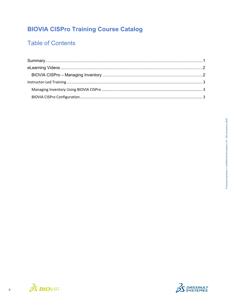## **BIOVIA CISPro Training Course Catalog**

### **Table of Contents**



 $\overline{\textbf{H}}$ 

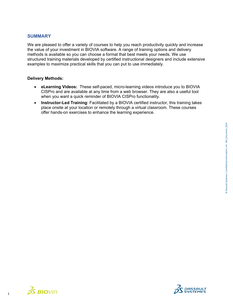#### <span id="page-2-0"></span>**SUMMARY**

We are pleased to offer a variety of courses to help you reach productivity quickly and increase the value of your investment in BIOVIA software. A range of training options and delivery methods is available so you can choose a format that best meets your needs. We use structured training materials developed by certified instructional designers and include extensive examples to maximize practical skills that you can put to use immediately.

#### **Delivery Methods:**

- **eLearning Videos:** These self-paced, micro-learning videos introduce you to BIOVIA CISPro and are available at any time from a web browser. They are also a useful tool when you want a quick reminder of BIOVIA CISPro functionality.
- **Instructor-Led Training**: Facilitated by a BIOVIA certified instructor, this training takes place onsite at your location or remotely through a virtual classroom. These courses offer hands-on exercises to enhance the learning experience.



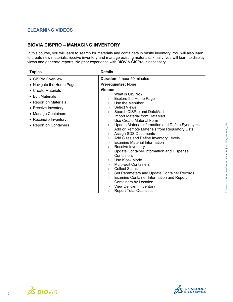#### <span id="page-3-0"></span>**ELEARNING VIDEOS**

#### <span id="page-3-1"></span>**BIOVIA CISPRO – MANAGING INVENTORY**

In this course, you will learn to search for materials and containers in onsite inventory. You will also learn to create new materials, receive inventory and manage existing materials. Finally, you will learn to display views and generate reports. No prior experience with BIOVIA CISPro is necessary.

| <b>Topics</b>                                                                                                                                                            | <b>Details</b>                                                                                                                                                                                                                                                                                                                                                                                                                                                                                                                                                                                                                       |
|--------------------------------------------------------------------------------------------------------------------------------------------------------------------------|--------------------------------------------------------------------------------------------------------------------------------------------------------------------------------------------------------------------------------------------------------------------------------------------------------------------------------------------------------------------------------------------------------------------------------------------------------------------------------------------------------------------------------------------------------------------------------------------------------------------------------------|
| • CISPro Overview                                                                                                                                                        | <b>Duration: 1 hour 50 minutes</b>                                                                                                                                                                                                                                                                                                                                                                                                                                                                                                                                                                                                   |
| • Navigate the Home Page                                                                                                                                                 | <b>Prerequisites: None</b>                                                                                                                                                                                                                                                                                                                                                                                                                                                                                                                                                                                                           |
| • Create Materials<br>$\bullet$ Edit Materials<br>• Report on Materials<br>• Receive Inventory<br>• Manage Containers<br>• Reconcile Inventory<br>• Report on Containers | Videos:<br>$>$ What is CISPro?<br>Explore the Home Page<br>><br>Use the Menubar<br>$\geq$<br><b>Select Views</b><br>$\geq$<br>Search CISPro and DataMart<br>$\geq$<br>Import Material from DataMart<br>$\geq$<br>Use Create Material Form<br>$\geq$<br>Update Material Information and Define Synonyms<br>><br>Add or Remote Materials from Regulatory Lists<br>$\geq$<br><b>Assign SDS Documents</b><br>><br>Add Sizes and Define Inventory Levels<br>><br><b>Examine Material Information</b><br>$\geq$<br>Receive Inventory<br>><br>Update Container Information and Dispense<br>$\geq$<br>Containers<br>Use Kiosk Mode<br>$\geq$ |
|                                                                                                                                                                          | <b>Multi-Edit Containers</b><br>$\geq$                                                                                                                                                                                                                                                                                                                                                                                                                                                                                                                                                                                               |
|                                                                                                                                                                          | <b>Collect Scans</b><br>$\geq$<br>Set Parameters and Update Container Records<br>>                                                                                                                                                                                                                                                                                                                                                                                                                                                                                                                                                   |
|                                                                                                                                                                          | <b>Examine Container Information and Report</b><br>><br>Containers by Location<br><b>View Deficient Inventory</b><br>>                                                                                                                                                                                                                                                                                                                                                                                                                                                                                                               |
|                                                                                                                                                                          | <b>Report Total Quantities</b><br>>                                                                                                                                                                                                                                                                                                                                                                                                                                                                                                                                                                                                  |